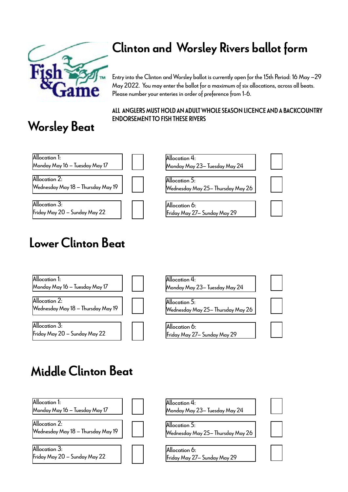

#### Clinton and Worsley Rivers ballot form

Entry into the Clinton and Worsley ballot is currently open for the 15th Period: 16 May –29 May 2022. You may enter the ballot for a maximum of six allocations, across all beats. Please number your enteries in order of preference from 1-6.

## ALL ANGLERS MUST HOLD AN ADULT WHOLE SEASON LICENCE AND A BACKCOUNTRY

# ENDORSEMENT TO FISH THESE RIVERS Worsley Beat



### Lower Clinton Beat



| Monday May 23— Tuesday May 24 |
|-------------------------------|
|                               |

Wednesday May 25– Thursday May 26

Allocation 6: Friday May 27– Sunday May 29

![](_page_0_Picture_11.jpeg)

#### Middle Clinton Beat

![](_page_0_Figure_13.jpeg)

| Allocation 4:                 |  |
|-------------------------------|--|
| Monday May 23– Tuesday May 24 |  |
|                               |  |
|                               |  |

Allocation 5: Wednesday May 25– Thursday May 26

Allocation 6: Friday May 27– Sunday May 29